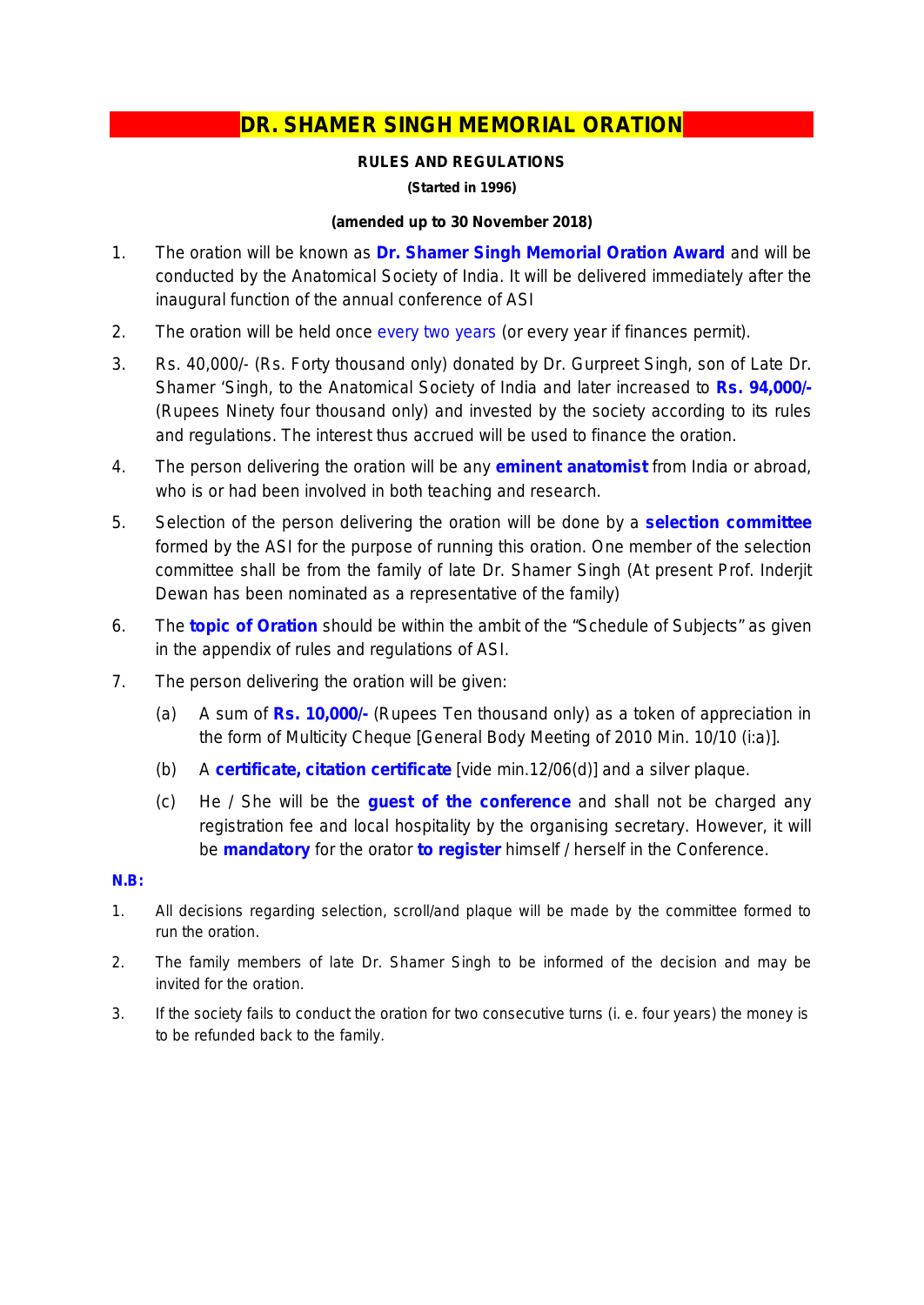## **DR. SHAMER SINGH MEMORIAL ORATION**

### **RULES AND REGULATIONS**

**(Started in 1996)**

### **(amended up to 30 November 2018)**

- 1. The oration will be known as **Dr. Shamer Singh Memorial Oration Award** and will be conducted by the Anatomical Society of India. It will be delivered immediately after the inaugural function of the annual conference of ASI
- 2. The oration will be held once every two years (or every year if finances permit).
- 3. Rs. 40,000/- (Rs. Forty thousand only) donated by Dr. Gurpreet Singh, son of Late Dr. Shamer 'Singh, to the Anatomical Society of India and later increased to **Rs. 94,000/-** (Rupees Ninety four thousand only) and invested by the society according to its rules and regulations. The interest thus accrued will be used to finance the oration.
- 4. The person delivering the oration will be any **eminent anatomist** from India or abroad, who is or had been involved in both teaching and research.
- 5. Selection of the person delivering the oration will be done by a **selection committee** formed by the ASI for the purpose of running this oration. One member of the selection committee shall be from the family of late Dr. Shamer Singh (At present Prof. Inderjit Dewan has been nominated as a representative of the family)
- 6. The **topic of Oration** should be within the ambit of the "Schedule of Subjects" as given in the appendix of rules and regulations of ASI.
- 7. The person delivering the oration will be given:
	- (a) A sum of **Rs. 10,000/-** (Rupees Ten thousand only) as a token of appreciation in the form of Multicity Cheque *[General Body Meeting of 2010 Min. 10/10 (i:a)].*
	- (b) A **certificate, citation certificate** [vide min.12/06(d)] and a silver plaque.
	- (c) He / She will be the **guest of the conference** and shall not be charged any registration fee and local hospitality by the organising secretary. However, it will be **mandatory** for the orator **to register** himself / herself in the Conference.

#### **N.B:**

- *1. All decisions regarding selection, scroll/and plaque will be made by the committee formed to run the oration.*
- 2. *The family members of late Dr. Shamer Singh to be informed of the decision and may be invited for the oration.*
- 3. If the society fails to conduct the oration for two consecutive turns (i. e. four years) the money is *to be refunded back to the family.*